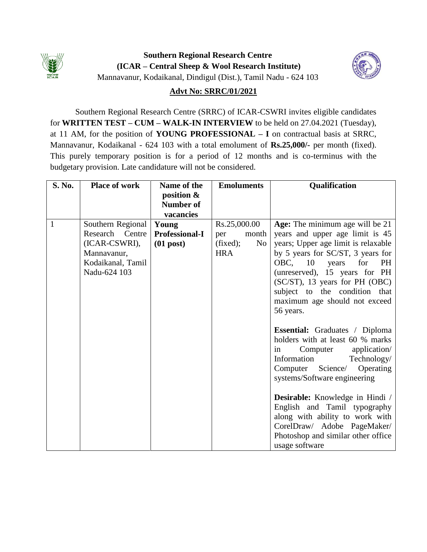

**Southern Regional Research Centre (ICAR – Central Sheep & Wool Research Institute)** Mannavanur, Kodaikanal, Dindigul (Dist.), Tamil Nadu - 624 103



# **Advt No: SRRC/01/2021**

Southern Regional Research Centre (SRRC) of ICAR-CSWRI invites eligible candidates for **WRITTEN TEST – CUM – WALK-IN INTERVIEW** to be held on 27.04.2021 (Tuesday), at 11 AM, for the position of **YOUNG PROFESSIONAL – I** on contractual basis at SRRC, Mannavanur, Kodaikanal - 624 103 with a total emolument of **Rs.25,000/-** per month (fixed). This purely temporary position is for a period of 12 months and is co-terminus with the budgetary provision. Late candidature will not be considered.

| S. No.       | <b>Place of work</b> | Name of the           | <b>Emoluments</b>          | Qualification                                                                                                                                                                                               |
|--------------|----------------------|-----------------------|----------------------------|-------------------------------------------------------------------------------------------------------------------------------------------------------------------------------------------------------------|
|              |                      | position &            |                            |                                                                                                                                                                                                             |
|              |                      | <b>Number of</b>      |                            |                                                                                                                                                                                                             |
|              |                      | vacancies             |                            |                                                                                                                                                                                                             |
| $\mathbf{1}$ | Southern Regional    | Young                 | Rs.25,000.00               | Age: The minimum age will be 21                                                                                                                                                                             |
|              | Research Centre      | <b>Professional-I</b> | month<br>per               | years and upper age limit is 45                                                                                                                                                                             |
|              | (ICAR-CSWRI),        | $(01$ post)           | (fixed);<br>N <sub>0</sub> | years; Upper age limit is relaxable                                                                                                                                                                         |
|              | Mannavanur,          |                       | <b>HRA</b>                 | by 5 years for SC/ST, 3 years for                                                                                                                                                                           |
|              | Kodaikanal, Tamil    |                       |                            | OBC, 10 years<br>for<br><b>PH</b>                                                                                                                                                                           |
|              | Nadu-624 103         |                       |                            | (unreserved), 15 years for PH                                                                                                                                                                               |
|              |                      |                       |                            | (SC/ST), 13 years for PH (OBC)                                                                                                                                                                              |
|              |                      |                       |                            | subject to the condition that                                                                                                                                                                               |
|              |                      |                       |                            | maximum age should not exceed                                                                                                                                                                               |
|              |                      |                       |                            | 56 years.                                                                                                                                                                                                   |
|              |                      |                       |                            | <b>Essential:</b> Graduates / Diploma<br>holders with at least 60 % marks<br>application/<br>Computer<br>in<br>Information<br>Technology/<br>Computer Science/<br>Operating<br>systems/Software engineering |
|              |                      |                       |                            | <b>Desirable:</b> Knowledge in Hindi /<br>English and Tamil typography<br>along with ability to work with<br>CorelDraw/ Adobe PageMaker/<br>Photoshop and similar other office<br>usage software            |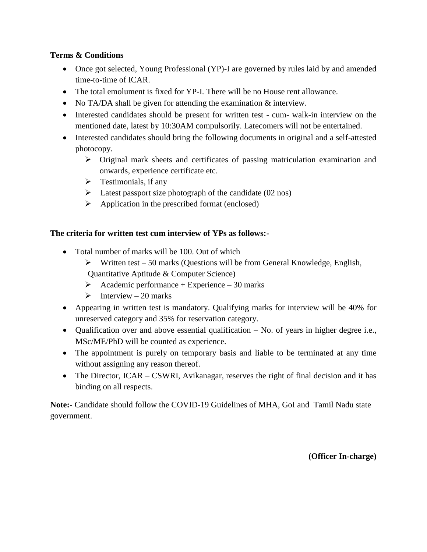### **Terms & Conditions**

- Once got selected, Young Professional (YP)-I are governed by rules laid by and amended time-to-time of ICAR.
- The total emolument is fixed for YP-I. There will be no House rent allowance.
- No TA/DA shall be given for attending the examination & interview.
- Interested candidates should be present for written test cum- walk-in interview on the mentioned date, latest by 10:30AM compulsorily. Latecomers will not be entertained.
- Interested candidates should bring the following documents in original and a self-attested photocopy.
	- $\triangleright$  Original mark sheets and certificates of passing matriculation examination and onwards, experience certificate etc.
	- $\triangleright$  Testimonials, if any
	- $\triangleright$  Latest passport size photograph of the candidate (02 nos)
	- $\triangleright$  Application in the prescribed format (enclosed)

# **The criteria for written test cum interview of YPs as follows:-**

- Total number of marks will be 100. Out of which
	- $\triangleright$  Written test 50 marks (Questions will be from General Knowledge, English, Quantitative Aptitude & Computer Science)
	- Academic performance + Experience 30 marks
	- $\triangleright$  Interview 20 marks
- Appearing in written test is mandatory. Qualifying marks for interview will be 40% for unreserved category and 35% for reservation category.
- Qualification over and above essential qualification No. of years in higher degree i.e., MSc/ME/PhD will be counted as experience.
- The appointment is purely on temporary basis and liable to be terminated at any time without assigning any reason thereof.
- The Director, ICAR CSWRI, Avikanagar, reserves the right of final decision and it has binding on all respects.

**Note:-** Candidate should follow the COVID-19 Guidelines of MHA, GoI and Tamil Nadu state government.

**(Officer In-charge)**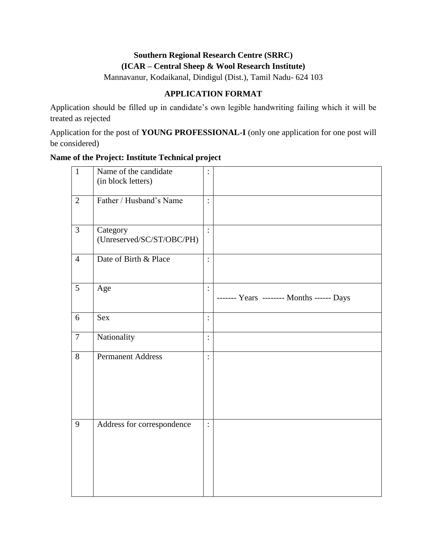# **Southern Regional Research Centre (SRRC) (ICAR – Central Sheep & Wool Research Institute)**

Mannavanur, Kodaikanal, Dindigul (Dist.), Tamil Nadu- 624 103

# **APPLICATION FORMAT**

Application should be filled up in candidate's own legible handwriting failing which it will be treated as rejected

Application for the post of **YOUNG PROFESSIONAL-I** (only one application for one post will be considered)

## **Name of the Project: Institute Technical project**

| $\mathbf{1}$   | Name of the candidate<br>(in block letters) |                |                                           |
|----------------|---------------------------------------------|----------------|-------------------------------------------|
| $\overline{2}$ | Father / Husband's Name                     | $\vdots$       |                                           |
| $\overline{3}$ | Category<br>(Unreserved/SC/ST/OBC/PH)       | $\ddot{\cdot}$ |                                           |
| $\overline{4}$ | Date of Birth & Place                       | $\vdots$       |                                           |
| $\overline{5}$ | Age                                         | $\ddot{\cdot}$ | ------- Years -------- Months ------ Days |
| 6              | Sex                                         | $\ddot{\cdot}$ |                                           |
| $\overline{7}$ | Nationality                                 | $\vdots$       |                                           |
| 8              | <b>Permanent Address</b>                    | $\vdots$       |                                           |
| 9              | Address for correspondence                  | $\ddot{\cdot}$ |                                           |